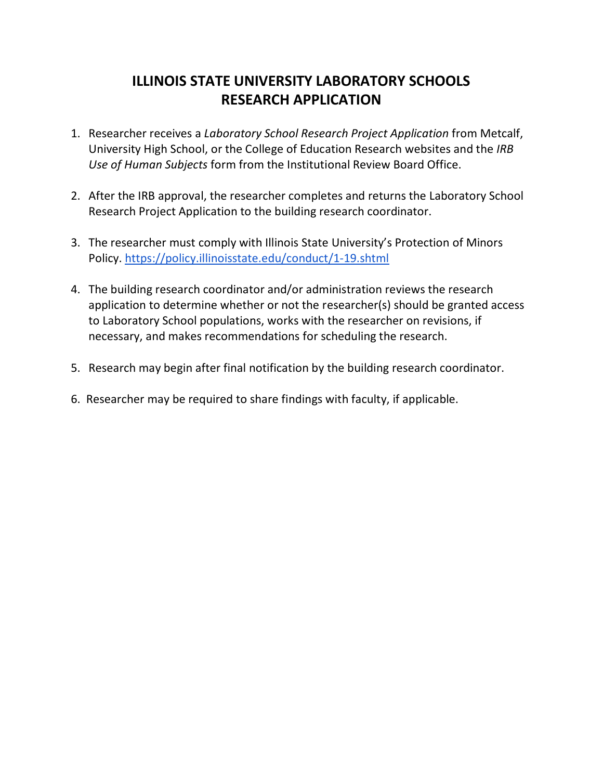## **ILLINOIS STATE UNIVERSITY LABORATORY SCHOOLS RESEARCH APPLICATION**

- 1. Researcher receives a *Laboratory School Research Project Application* from Metcalf, University High School, or the College of Education Research websites and the *IRB Use of Human Subjects* form from the Institutional Review Board Office.
- 2. After the IRB approval, the researcher completes and returns the Laboratory School Research Project Application to the building research coordinator.
- 3. The researcher must comply with Illinois State University's Protection of Minors Policy. https://policy.illinoisstate.edu/conduct/1-19.shtml
- 4. The building research coordinator and/or administration reviews the research application to determine whether or not the researcher(s) should be granted access to Laboratory School populations, works with the researcher on revisions, if necessary, and makes recommendations for scheduling the research.
- 5. Research may begin after final notification by the building research coordinator.
- 6. Researcher may be required to share findings with faculty, if applicable.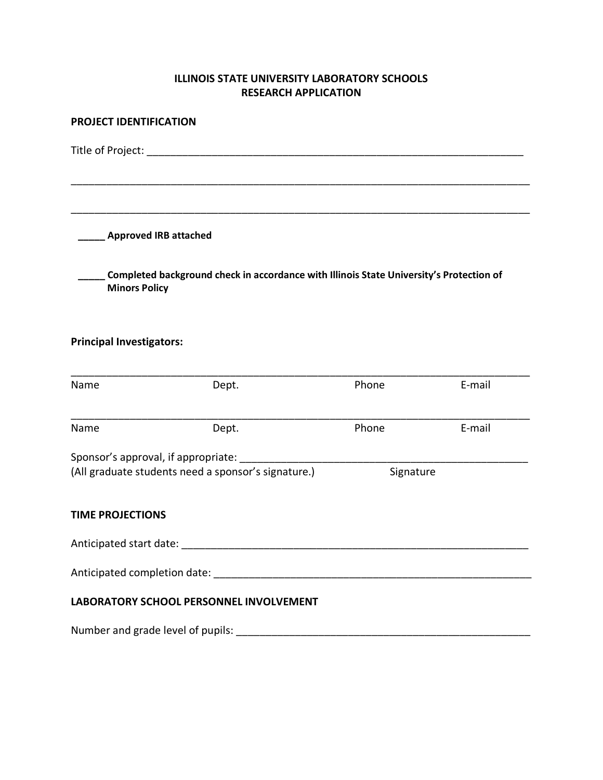## **ILLINOIS STATE UNIVERSITY LABORATORY SCHOOLS RESEARCH APPLICATION**

| PROJECT IDENTIFICATION                                                                                          |                              |           |        |  |  |  |
|-----------------------------------------------------------------------------------------------------------------|------------------------------|-----------|--------|--|--|--|
|                                                                                                                 |                              |           |        |  |  |  |
|                                                                                                                 | <b>Approved IRB attached</b> |           |        |  |  |  |
| Completed background check in accordance with Illinois State University's Protection of<br><b>Minors Policy</b> |                              |           |        |  |  |  |
| <b>Principal Investigators:</b>                                                                                 |                              |           |        |  |  |  |
| Name                                                                                                            | Dept.                        | Phone     | E-mail |  |  |  |
| Name                                                                                                            | Dept.                        | Phone     | E-mail |  |  |  |
| Sponsor's approval, if appropriate: _________<br>(All graduate students need a sponsor's signature.)            |                              | Signature |        |  |  |  |
| <b>TIME PROJECTIONS</b>                                                                                         |                              |           |        |  |  |  |
| Anticipated start date:                                                                                         |                              |           |        |  |  |  |
|                                                                                                                 |                              |           |        |  |  |  |
| LABORATORY SCHOOL PERSONNEL INVOLVEMENT                                                                         |                              |           |        |  |  |  |
|                                                                                                                 |                              |           |        |  |  |  |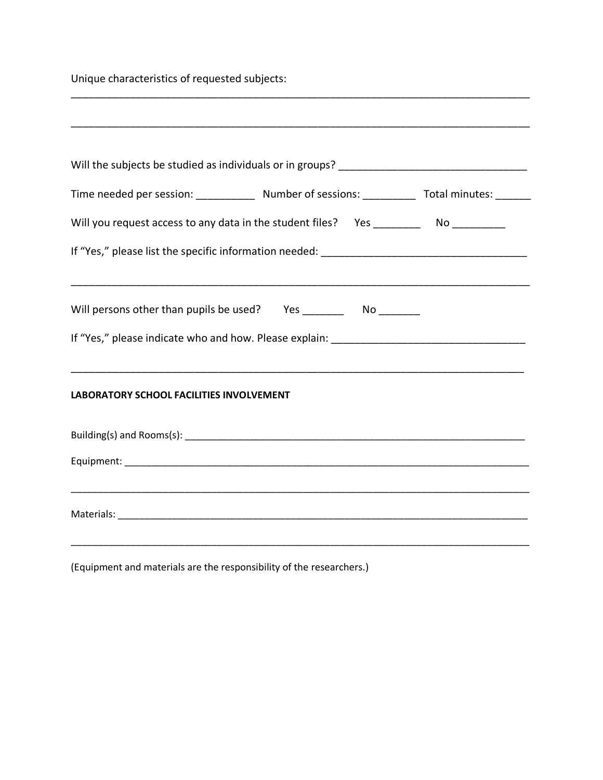Unique characteristics of requested subjects:

| Time needed per session: ______________ Number of sessions: ___________ Total minutes: _______ |  |
|------------------------------------------------------------------------------------------------|--|
| Will you request access to any data in the student files?  Yes ___________ No __________       |  |
|                                                                                                |  |
| Will persons other than pupils be used? Yes ___________ No ________                            |  |
|                                                                                                |  |
| <b>LABORATORY SCHOOL FACILITIES INVOLVEMENT</b>                                                |  |
|                                                                                                |  |
|                                                                                                |  |
|                                                                                                |  |
|                                                                                                |  |
|                                                                                                |  |

\_\_\_\_\_\_\_\_\_\_\_\_\_\_\_\_\_\_\_\_\_\_\_\_\_\_\_\_\_\_\_\_\_\_\_\_\_\_\_\_\_\_\_\_\_\_\_\_\_\_\_\_\_\_\_\_\_\_\_\_\_\_\_\_\_\_\_\_\_\_\_\_\_\_\_\_\_\_

(Equipment and materials are the responsibility of the researchers.)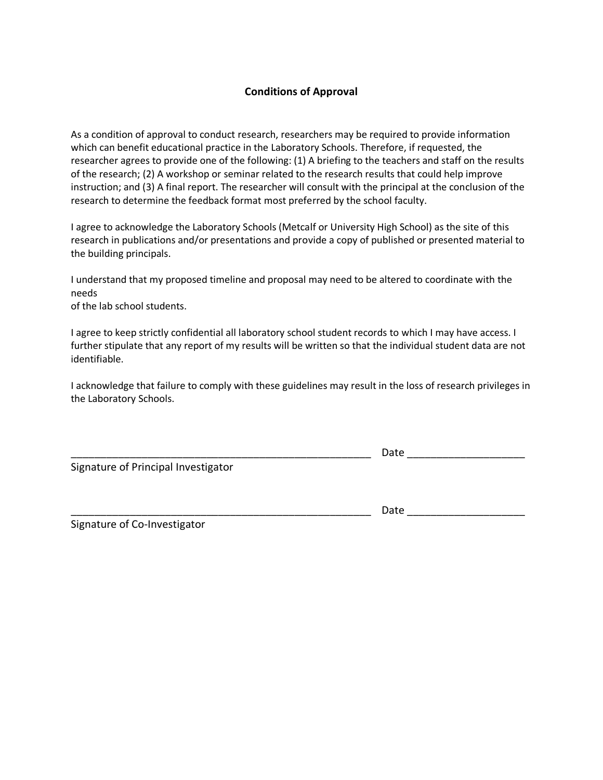## **Conditions of Approval**

As a condition of approval to conduct research, researchers may be required to provide information which can benefit educational practice in the Laboratory Schools. Therefore, if requested, the researcher agrees to provide one of the following: (1) A briefing to the teachers and staff on the results of the research; (2) A workshop or seminar related to the research results that could help improve instruction; and (3) A final report. The researcher will consult with the principal at the conclusion of the research to determine the feedback format most preferred by the school faculty.

I agree to acknowledge the Laboratory Schools (Metcalf or University High School) as the site of this research in publications and/or presentations and provide a copy of published or presented material to the building principals.

I understand that my proposed timeline and proposal may need to be altered to coordinate with the needs

of the lab school students.

I agree to keep strictly confidential all laboratory school student records to which I may have access. I further stipulate that any report of my results will be written so that the individual student data are not identifiable.

I acknowledge that failure to comply with these guidelines may result in the loss of research privileges in the Laboratory Schools.

Signature of Principal Investigator

Signature of Co-Investigator

\_\_\_\_\_\_\_\_\_\_\_\_\_\_\_\_\_\_\_\_\_\_\_\_\_\_\_\_\_\_\_\_\_\_\_\_\_\_\_\_\_\_\_\_\_\_\_\_\_\_\_ Date \_\_\_\_\_\_\_\_\_\_\_\_\_\_\_\_\_\_\_\_

\_\_\_\_\_\_\_\_\_\_\_\_\_\_\_\_\_\_\_\_\_\_\_\_\_\_\_\_\_\_\_\_\_\_\_\_\_\_\_\_\_\_\_\_\_\_\_\_\_\_\_ Date \_\_\_\_\_\_\_\_\_\_\_\_\_\_\_\_\_\_\_\_